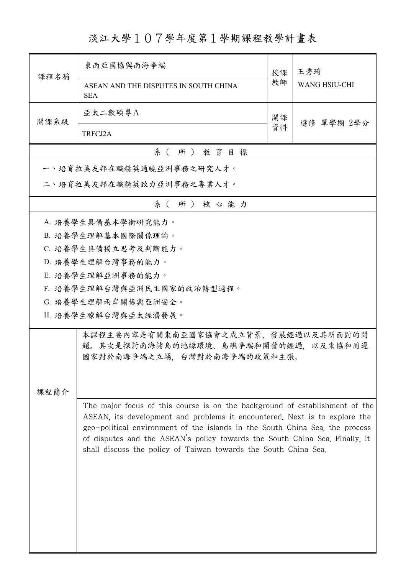淡江大學107學年度第1學期課程教學計畫表

| 課程名稱                                                                                                                                                                                                                                                                                                                                                                                        | 東南亞國協與南海爭端                                                                                                | 授課 | 王秀琦                  |  |  |  |
|---------------------------------------------------------------------------------------------------------------------------------------------------------------------------------------------------------------------------------------------------------------------------------------------------------------------------------------------------------------------------------------------|-----------------------------------------------------------------------------------------------------------|----|----------------------|--|--|--|
|                                                                                                                                                                                                                                                                                                                                                                                             | ASEAN AND THE DISPUTES IN SOUTH CHINA<br><b>SEA</b>                                                       | 教師 | <b>WANG HSIU-CHI</b> |  |  |  |
| 開課系級                                                                                                                                                                                                                                                                                                                                                                                        | 亞太二數碩專A                                                                                                   | 開課 | 選修 單學期 2學分           |  |  |  |
|                                                                                                                                                                                                                                                                                                                                                                                             | TRFCJ2A                                                                                                   | 資料 |                      |  |  |  |
|                                                                                                                                                                                                                                                                                                                                                                                             | 系 (所) 教育目標                                                                                                |    |                      |  |  |  |
|                                                                                                                                                                                                                                                                                                                                                                                             | 一、培育拉美友邦在職精英通曉亞洲事務之研究人才。                                                                                  |    |                      |  |  |  |
|                                                                                                                                                                                                                                                                                                                                                                                             | 二、培育拉美友邦在職精英致力亞洲事務之專業人才。                                                                                  |    |                      |  |  |  |
|                                                                                                                                                                                                                                                                                                                                                                                             | 系(所)核心能力                                                                                                  |    |                      |  |  |  |
|                                                                                                                                                                                                                                                                                                                                                                                             | A. 培養學生具備基本學術研究能力。                                                                                        |    |                      |  |  |  |
|                                                                                                                                                                                                                                                                                                                                                                                             | B. 培養學生理解基本國際關係理論。                                                                                        |    |                      |  |  |  |
|                                                                                                                                                                                                                                                                                                                                                                                             | C. 培養學生具備獨立思考及判斷能力。                                                                                       |    |                      |  |  |  |
|                                                                                                                                                                                                                                                                                                                                                                                             | D. 培養學生理解台灣事務的能力。                                                                                         |    |                      |  |  |  |
|                                                                                                                                                                                                                                                                                                                                                                                             | E. 培養學生理解亞洲事務的能力。                                                                                         |    |                      |  |  |  |
|                                                                                                                                                                                                                                                                                                                                                                                             | F. 培養學生理解台灣與亞洲民主國家的政治轉型過程。                                                                                |    |                      |  |  |  |
| G. 培養學生理解兩岸關係與亞洲安全。                                                                                                                                                                                                                                                                                                                                                                         |                                                                                                           |    |                      |  |  |  |
| H. 培養學生瞭解台灣與亞太經濟發展。                                                                                                                                                                                                                                                                                                                                                                         |                                                                                                           |    |                      |  |  |  |
|                                                                                                                                                                                                                                                                                                                                                                                             | 本課程主要內容是有關東南亞國家協會之成立背景、發展經過以及其所面對的問<br>題。其次是探討南海諸島的地緣環境、島礁爭端和開發的經過,以及東協和周邊<br>國家對於南海爭端之立場,台灣對於南海爭端的政策和主張。 |    |                      |  |  |  |
|                                                                                                                                                                                                                                                                                                                                                                                             |                                                                                                           |    |                      |  |  |  |
| 課程簡介                                                                                                                                                                                                                                                                                                                                                                                        |                                                                                                           |    |                      |  |  |  |
| The major focus of this course is on the background of establishment of the<br>ASEAN, its development and problems it encountered. Next is to explore the<br>geo-political environment of the islands in the South China Sea, the process<br>of disputes and the ASEAN's policy towards the South China Sea. Finally, it<br>shall discuss the policy of Taiwan towards the South China Sea. |                                                                                                           |    |                      |  |  |  |
|                                                                                                                                                                                                                                                                                                                                                                                             |                                                                                                           |    |                      |  |  |  |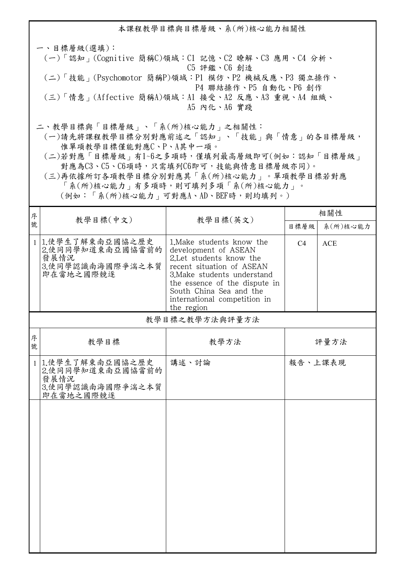本課程教學目標與目標層級、系(所)核心能力相關性 一、目標層級(選填): (一)「認知」(Cognitive 簡稱C)領域:C1 記憶、C2 瞭解、C3 應用、C4 分析、 C5 評鑑、C6 創造 (二)「技能」(Psychomotor 簡稱P)領域:P1 模仿、P2 機械反應、P3 獨立操作、 P4 聯結操作、P5 自動化、P6 創作 (三)「情意」(Affective 簡稱A)領域:A1 接受、A2 反應、A3 重視、A4 組織、 A5 內化、A6 實踐 二、教學目標與「目標層級」、「系(所)核心能力」之相關性:

 (一)請先將課程教學目標分別對應前述之「認知」、「技能」與「情意」的各目標層級, 惟單項教學目標僅能對應C、P、A其中一項。

 (二)若對應「目標層級」有1~6之多項時,僅填列最高層級即可(例如:認知「目標層級」 對應為C3、C5、C6項時,只需填列C6即可,技能與情意目標層級亦同)。

 (三)再依據所訂各項教學目標分別對應其「系(所)核心能力」。單項教學目標若對應 「系(所)核心能力」有多項時,則可填列多項「系(所)核心能力」。

(例如:「系(所)核心能力」可對應A、AD、BEF時,則均填列。)

| 序            |                                                                                | 教學目標(英文)                                                                                                                                                                                                                                            | 相關性            |            |
|--------------|--------------------------------------------------------------------------------|-----------------------------------------------------------------------------------------------------------------------------------------------------------------------------------------------------------------------------------------------------|----------------|------------|
| 號            | 教學目標(中文)                                                                       |                                                                                                                                                                                                                                                     | 目標層級           | 系(所)核心能力   |
|              | 1 1.使學生了解東南亞國協之歷史<br>2.使同同學知道東南亞國協當前的<br>發展情況<br>3.使同學認識南海國際爭湍之本質<br>即在當地之國際競逐 | 1. Make students know the<br>development of ASEAN<br>2. Let students know the<br>recent situation of ASEAN<br>3. Make students understand<br>the essence of the dispute in<br>South China Sea and the<br>international competition in<br>the region | C <sub>4</sub> | <b>ACE</b> |
|              |                                                                                | 教學目標之教學方法與評量方法                                                                                                                                                                                                                                      |                |            |
| 序<br>號       | 教學目標                                                                           | 教學方法                                                                                                                                                                                                                                                |                | 評量方法       |
| $\mathbf{1}$ | 1.使學生了解東南亞國協之歷史<br>2.使同同學知道東南亞國協當前的<br>發展情況<br>3.使同學認識南海國際爭湍之本質<br>即在當地之國際競逐   | 講述、討論                                                                                                                                                                                                                                               | 報告、上課表現        |            |
|              |                                                                                |                                                                                                                                                                                                                                                     |                |            |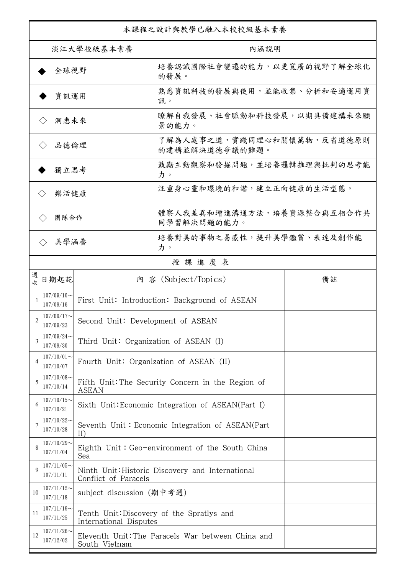| 本課程之設計與教學已融入本校校級基本素養        |                             |                                                                   |                                                   |    |  |
|-----------------------------|-----------------------------|-------------------------------------------------------------------|---------------------------------------------------|----|--|
| 淡江大學校級基本素養                  |                             |                                                                   | 內涵說明                                              |    |  |
| 全球視野                        |                             |                                                                   | 培養認識國際社會變遷的能力,以更寬廣的視野了解全球化<br>的發展。                |    |  |
| 資訊運用                        |                             |                                                                   | 熟悉資訊科技的發展與使用,並能收集、分析和妥適運用資<br>訊。                  |    |  |
| 洞悉未來<br>$\langle \ \rangle$ |                             |                                                                   | 瞭解自我發展、社會脈動和科技發展,以期具備建構未來願<br>景的能力。               |    |  |
| 品德倫理                        |                             |                                                                   | 了解為人處事之道,實踐同理心和關懷萬物,反省道德原則<br>的建構並解決道德爭議的難題。      |    |  |
| 獨立思考                        |                             |                                                                   | 鼓勵主動觀察和發掘問題,並培養邏輯推理與批判的思考能<br>力。                  |    |  |
| 樂活健康                        |                             |                                                                   | 注重身心靈和環境的和諧,建立正向健康的生活型態。                          |    |  |
|                             | 團隊合作<br>$\langle \ \rangle$ |                                                                   | 體察人我差異和增進溝通方法,培養資源整合與互相合作共<br>同學習解決問題的能力。         |    |  |
|                             | 美學涵養<br>$\langle \rangle$   |                                                                   | 培養對美的事物之易感性,提升美學鑑賞、表達及創作能<br>力。                   |    |  |
|                             |                             |                                                                   | 授課進度表                                             |    |  |
| 週<br>欤                      | 日期起訖                        |                                                                   | 内 容 (Subject/Topics)                              | 備註 |  |
|                             | $107/09/10$ ~<br>107/09/16  |                                                                   | First Unit: Introduction: Background of ASEAN     |    |  |
| 2                           | $107/09/17$ ~<br>107/09/23  | Second Unit: Development of ASEAN                                 |                                                   |    |  |
| 3                           | $107/09/24$ ~<br>107/09/30  | Third Unit: Organization of ASEAN (I)                             |                                                   |    |  |
| $\overline{4}$              | $107/10/01$ ~<br>107/10/07  | Fourth Unit: Organization of ASEAN (II)                           |                                                   |    |  |
| 5                           | $107/10/08$ ~<br>107/10/14  | Fifth Unit: The Security Concern in the Region of<br><b>ASEAN</b> |                                                   |    |  |
| 6                           | $107/10/15$ ~<br>107/10/21  | Sixth Unit: Economic Integration of ASEAN(Part I)                 |                                                   |    |  |
| 7                           | $107/10/22$ ~<br>107/10/28  | Seventh Unit: Economic Integration of ASEAN(Part<br>II)           |                                                   |    |  |
| 8                           | $107/10/29$ ~<br>107/11/04  | Sea                                                               | Eighth Unit: Geo-environment of the South China   |    |  |
| 9                           | $107/11/05$ ~<br>107/11/11  | Conflict of Paracels                                              | Ninth Unit: Historic Discovery and International  |    |  |
| 10                          | $107/11/12$ ~<br>107/11/18  | subject discussion (期中考週)                                         |                                                   |    |  |
| 11                          | $107/11/19$ ~<br>107/11/25  | International Disputes                                            | Tenth Unit: Discovery of the Spratlys and         |    |  |
| 12                          | $107/11/26$ ~<br>107/12/02  | South Vietnam                                                     | Eleventh Unit: The Paracels War between China and |    |  |